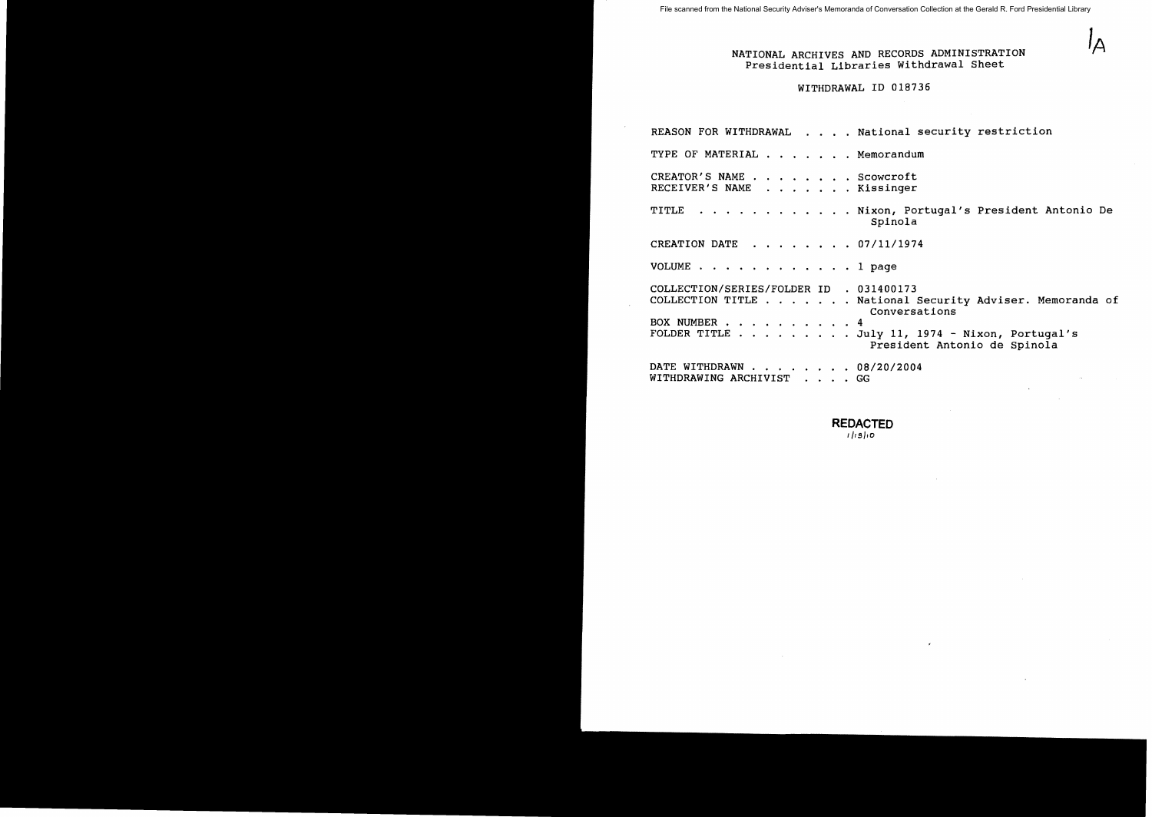File scanned from the National Security Adviser's Memoranda of Conversation Collection at the Gerald R. Ford Presidential Library

# NATIONAL ARCHIVES AND RECORDS ADMINISTRATION **IA** Presidential Libraries Withdrawal Sheet

# WITHDRAWAL ID 018736

REASON FOR WITHDRAWAL . . . . National security restriction TYPE OF MATERIAL . . . . . . Memorandum CREATOR'S NAME. Scowcroft CREATOR'S NAME . . . . . . . . Scowcroft<br>RECEIVER'S NAME . . . . . . . Kissinger TITLE . . . . . . . . . . . Nixon, Portugal's President Antonio De Spinola CREATION DATE . . . . . . 07/11/1974 VOLUME . . . . . . . . . . . . 1 page COLLECTION/SERIES/FOLDER ID . 031400173 COLLECTION/SERIES/FOLDER ID . 031400173<br>COLLECTION TITLE . . . . . . National Security Adviser. Memoranda of BOX NUMBER  $\cdots$   $\cdots$   $\cdots$   $\cdots$   $\cdots$   $\cdots$ FOLDER TITLE · July II, 1974 - Nixon, Portugal's Conversations President Antonio de Spinola Trestaen<br>DATE WITHDRAWN . . . . . . . . 08/20/2004 WITHDRAWING ARCHIVIST . . GG

**REDACTED** 

II/silo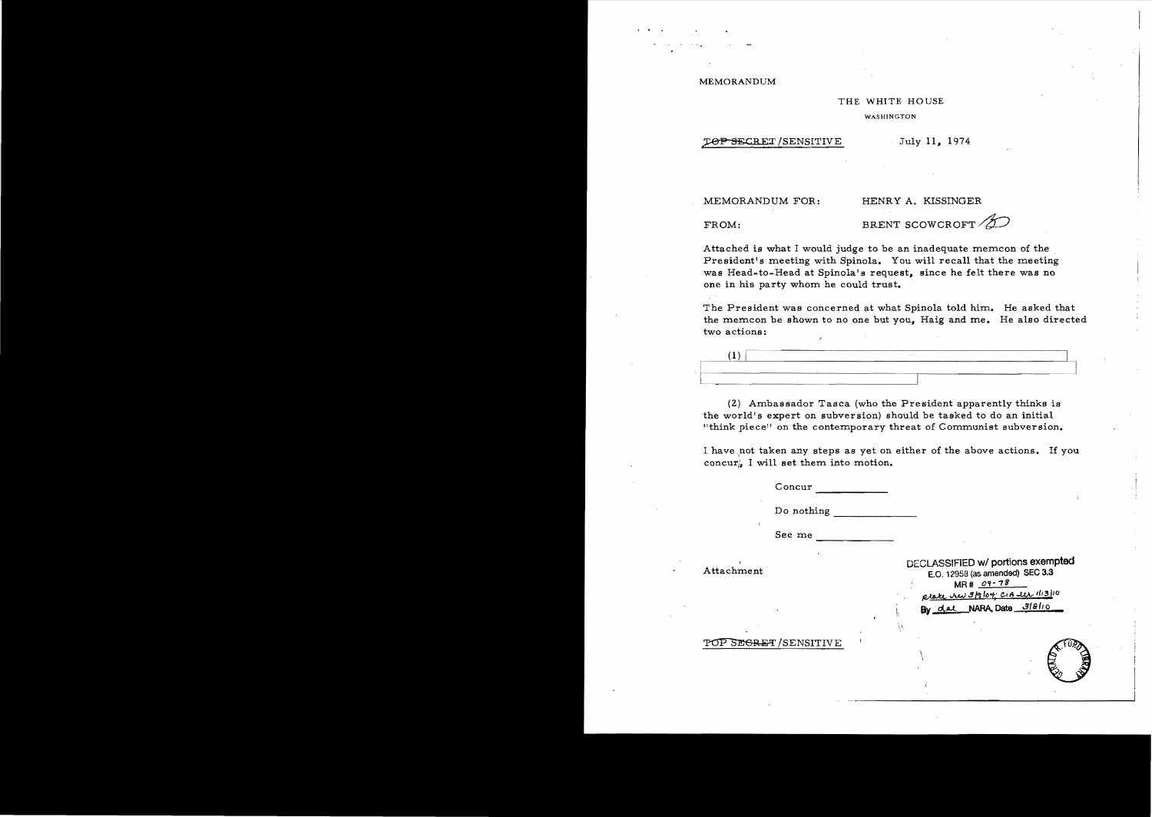MEMORANDUM

#### THE WHITE HOUSE

WASHINGTON

### TOP SECRET/SENSITIVE July 11, 1974

MEMORANDUM FOR: HENRY A. KISSINGER

FROM: BRENT SCOWCROFT *f* 

Attached is what I would judge to be an inadequate memcon of the President's meeting with Spinola. You will recall that the meeting was Head-to-Head at Spinola's request, since he felt there was no one in his party whom he could trust.

The President was concerned at what Spinola told him. He asked that the memcon be shown to no one but you, Haig and me. He also directed two actions:

| <br><b>ALC: Y</b><br>-------- | CONTINUES OF REAL PROPERTY AND RESIDENCE. | --------         | ----------------------<br>--------- | ------- | ---- |
|-------------------------------|-------------------------------------------|------------------|-------------------------------------|---------|------|
|                               |                                           |                  |                                     |         |      |
|                               |                                           | ---------------- |                                     |         |      |

(2) Ambassador Tasca (who the President apparently thinks is the world's expert on subversion) should be tasked to do an initial "think piece" on the contemporary threat of Communist subversion.

I have,not taken any steps as yet on either of the above actions. If you concur). I will set them into motion.

 $\mu$ 

-------- Concur

Do nothing  $\Box$ 

--------------- See me

DECLASSIFIED wI portions **exempted** Attachment· E.O. 12958 (as amended) SEC 3.3  $MR# 09 - 78$ *J\,W* 4" /0'1:,' CIA-..u..v 1(,3/10 By dal NARA, Date 318/10

POP SEGRET/SENSITIVE